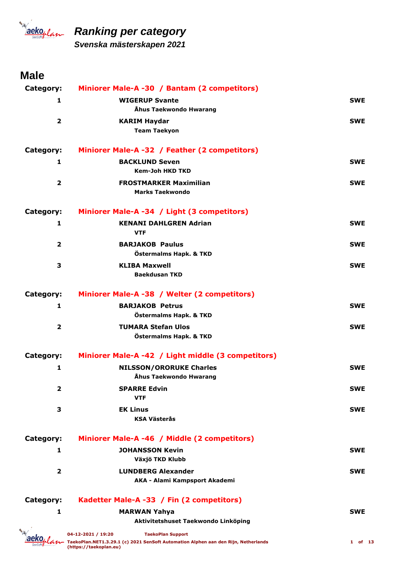

*Svenska mästerskapen 2021*

### **Male**

| Category:      | Miniorer Male-A -30 / Bantam (2 competitors)                                                                 |            |
|----------------|--------------------------------------------------------------------------------------------------------------|------------|
| 1              | <b>WIGERUP Svante</b>                                                                                        | <b>SWE</b> |
|                | Åhus Taekwondo Hwarang                                                                                       |            |
| $\overline{2}$ | <b>KARIM Haydar</b>                                                                                          | <b>SWE</b> |
|                | <b>Team Taekyon</b>                                                                                          |            |
| Category:      | Miniorer Male-A -32 / Feather (2 competitors)                                                                |            |
| 1              | <b>BACKLUND Seven</b>                                                                                        | <b>SWE</b> |
|                | <b>Kem-Joh HKD TKD</b>                                                                                       |            |
| $\overline{2}$ | <b>FROSTMARKER Maximilian</b><br><b>Marks Taekwondo</b>                                                      | <b>SWE</b> |
| Category:      | Miniorer Male-A -34 / Light (3 competitors)                                                                  |            |
| 1              | <b>KENANI DAHLGREN Adrian</b>                                                                                | <b>SWE</b> |
|                | <b>VTF</b>                                                                                                   |            |
| 2              | <b>BARJAKOB Paulus</b>                                                                                       | <b>SWE</b> |
|                | Östermalms Hapk. & TKD                                                                                       |            |
| 3              | <b>KLIBA Maxwell</b><br><b>Baekdusan TKD</b>                                                                 | <b>SWE</b> |
|                |                                                                                                              |            |
| Category:      | Miniorer Male-A -38 / Welter (2 competitors)                                                                 |            |
| 1              | <b>BARJAKOB Petrus</b>                                                                                       | <b>SWE</b> |
|                | Östermalms Hapk. & TKD                                                                                       |            |
| $\overline{2}$ | <b>TUMARA Stefan Ulos</b>                                                                                    | <b>SWE</b> |
|                | Östermalms Hapk. & TKD                                                                                       |            |
| Category:      | Miniorer Male-A -42 / Light middle (3 competitors)                                                           |            |
| 1              | <b>NILSSON/ORORUKE Charles</b>                                                                               | <b>SWE</b> |
|                | Åhus Taekwondo Hwarang                                                                                       |            |
| 2              | <b>SPARRE Edvin</b>                                                                                          | <b>SWE</b> |
|                | <b>VTF</b>                                                                                                   |            |
| 3              | <b>EK Linus</b><br><b>KSA Västerås</b>                                                                       | <b>SWE</b> |
|                |                                                                                                              |            |
| Category:      | Miniorer Male-A -46 / Middle (2 competitors)                                                                 |            |
| 1              | <b>JOHANSSON Kevin</b>                                                                                       | <b>SWE</b> |
|                | Växjö TKD Klubb                                                                                              |            |
| $\overline{2}$ | <b>LUNDBERG Alexander</b>                                                                                    | <b>SWE</b> |
|                | AKA - Alami Kampsport Akademi                                                                                |            |
| Category:      | Kadetter Male-A -33 / Fin (2 competitors)                                                                    |            |
| 1              | <b>MARWAN Yahya</b>                                                                                          | <b>SWE</b> |
|                | Aktivitetshuset Taekwondo Linköping                                                                          |            |
|                | 04-12-2021 / 19:20<br><b>TaekoPlan Support</b>                                                               |            |
|                | TaekoPlan.NET1.3.29.1 (c) 2021 SenSoft Automation Alphen aan den Rijn, Netherlands<br>(https://taekoplan.eu) | 1 of 13    |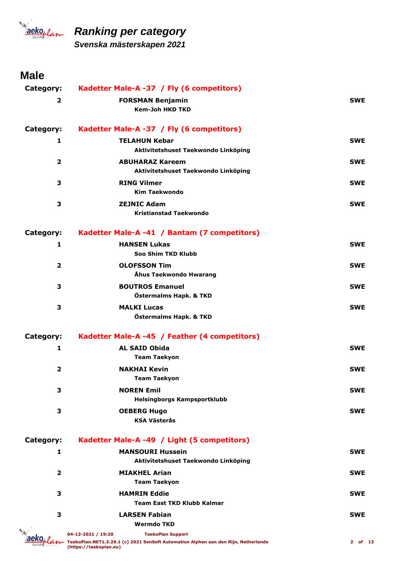

*Svenska mästerskapen 2021*

### **Male**

| Category:               | Kadetter Male-A -37 / Fly (6 competitors)                                                                    |            |
|-------------------------|--------------------------------------------------------------------------------------------------------------|------------|
| $\overline{2}$          | <b>FORSMAN Benjamin</b><br><b>Kem-Joh HKD TKD</b>                                                            | <b>SWE</b> |
|                         |                                                                                                              |            |
| Category:               | Kadetter Male-A -37 / Fly (6 competitors)                                                                    |            |
| 1                       | <b>TELAHUN Kebar</b>                                                                                         | <b>SWE</b> |
|                         | Aktivitetshuset Taekwondo Linköping                                                                          |            |
| $\overline{2}$          | <b>ABUHARAZ Kareem</b><br>Aktivitetshuset Taekwondo Linköping                                                | <b>SWE</b> |
| 3                       | <b>RING Vilmer</b>                                                                                           | <b>SWE</b> |
|                         | <b>Kim Taekwondo</b>                                                                                         |            |
| 3                       | <b>ZEJNIC Adam</b>                                                                                           | <b>SWE</b> |
|                         | <b>Kristianstad Taekwondo</b>                                                                                |            |
| Category:               | Kadetter Male-A -41 / Bantam (7 competitors)                                                                 |            |
| 1                       | <b>HANSEN Lukas</b>                                                                                          | <b>SWE</b> |
|                         | Soo Shim TKD Klubb                                                                                           |            |
| $\overline{2}$          | <b>OLOFSSON Tim</b>                                                                                          | <b>SWE</b> |
|                         | Åhus Taekwondo Hwarang                                                                                       |            |
| 3                       | <b>BOUTROS Emanuel</b>                                                                                       | <b>SWE</b> |
|                         | Östermalms Hapk. & TKD                                                                                       |            |
| 3                       | <b>MALKI Lucas</b><br>Östermalms Hapk. & TKD                                                                 | <b>SWE</b> |
| Category:               | Kadetter Male-A -45 / Feather (4 competitors)                                                                |            |
| 1                       | <b>AL SAID Obida</b>                                                                                         | <b>SWE</b> |
|                         | <b>Team Taekyon</b>                                                                                          |            |
| $\overline{\mathbf{2}}$ | <b>NAKHAI Kevin</b>                                                                                          | <b>SWE</b> |
|                         | <b>Team Taekyon</b>                                                                                          |            |
| З                       | <b>NOREN Emil</b>                                                                                            | <b>SWE</b> |
|                         | Helsingborgs Kampsportklubb                                                                                  |            |
| 3                       | <b>OEBERG Hugo</b><br><b>KSA Västerås</b>                                                                    | <b>SWE</b> |
|                         |                                                                                                              |            |
| Category:               | Kadetter Male-A -49 / Light (5 competitors)                                                                  |            |
| 1                       | <b>MANSOURI Hussein</b>                                                                                      | <b>SWE</b> |
|                         | Aktivitetshuset Taekwondo Linköping                                                                          |            |
| $\overline{\mathbf{2}}$ | <b>MIAKHEL Arian</b><br><b>Team Taekyon</b>                                                                  | <b>SWE</b> |
| 3                       | <b>HAMRIN Eddie</b>                                                                                          | <b>SWE</b> |
|                         | <b>Team East TKD Klubb Kalmar</b>                                                                            |            |
| 3                       | <b>LARSEN Fabian</b>                                                                                         | <b>SWE</b> |
|                         | <b>Wermdo TKD</b>                                                                                            |            |
|                         | 04-12-2021 / 19:20<br><b>TaekoPlan Support</b>                                                               |            |
|                         | TaekoPlan.NET1.3.29.1 (c) 2021 SenSoft Automation Alphen aan den Rijn, Netherlands<br>(https://taekoplan.eu) | 2 of 13    |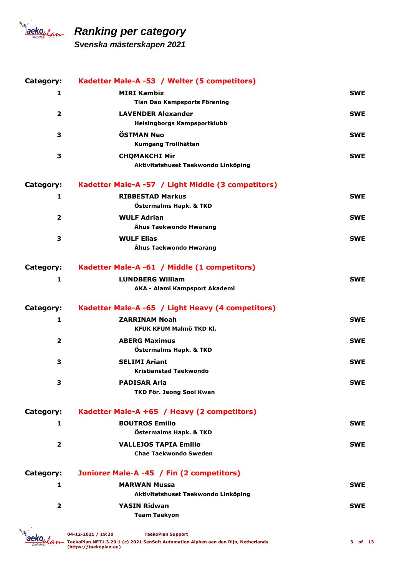

*Svenska mästerskapen 2021*

| Category:               | Kadetter Male-A -53 / Welter (5 competitors)       |            |
|-------------------------|----------------------------------------------------|------------|
| 1                       | <b>MIRI Kambiz</b>                                 | <b>SWE</b> |
|                         | Tian Dao Kampsports Förening                       |            |
| $\overline{2}$          | <b>LAVENDER Alexander</b>                          | <b>SWE</b> |
|                         | <b>Helsingborgs Kampsportklubb</b>                 |            |
| 3                       | <b>ÖSTMAN Neo</b>                                  | <b>SWE</b> |
|                         | Kumgang Trollhättan                                |            |
| 3                       | <b>CHQMAKCHI Mir</b>                               | <b>SWE</b> |
|                         | Aktivitetshuset Taekwondo Linköping                |            |
| Category:               | Kadetter Male-A -57 / Light Middle (3 competitors) |            |
| 1                       | <b>RIBBESTAD Markus</b>                            | <b>SWE</b> |
|                         | Östermalms Hapk. & TKD                             |            |
| $\mathbf{2}$            | <b>WULF Adrian</b>                                 | <b>SWE</b> |
|                         | Åhus Taekwondo Hwarang                             |            |
| 3                       | <b>WULF Elias</b>                                  | <b>SWE</b> |
|                         | Åhus Taekwondo Hwarang                             |            |
| Category:               | Kadetter Male-A -61 / Middle (1 competitors)       |            |
| 1                       | <b>LUNDBERG William</b>                            | <b>SWE</b> |
|                         | AKA - Alami Kampsport Akademi                      |            |
|                         |                                                    |            |
|                         |                                                    |            |
| Category:               | Kadetter Male-A -65 / Light Heavy (4 competitors)  |            |
| 1                       | <b>ZARRINAM Noah</b>                               | <b>SWE</b> |
|                         | KFUK KFUM Malmö TKD Kl.                            |            |
| $\overline{2}$          | <b>ABERG Maximus</b>                               | <b>SWE</b> |
|                         | Östermalms Hapk. & TKD                             |            |
| 3                       | <b>SELIMI Ariant</b>                               | <b>SWE</b> |
|                         | <b>Kristianstad Taekwondo</b>                      |            |
| З                       | <b>PADISAR Aria</b>                                | <b>SWE</b> |
|                         | TKD För. Jeong Sool Kwan                           |            |
| Category:               | Kadetter Male-A +65 / Heavy (2 competitors)        |            |
| 1                       | <b>BOUTROS Emilio</b>                              | <b>SWE</b> |
|                         | Östermalms Hapk. & TKD                             |            |
| $\overline{2}$          | <b>VALLEJOS TAPIA Emilio</b>                       | <b>SWE</b> |
|                         | <b>Chae Taekwondo Sweden</b>                       |            |
|                         |                                                    |            |
| Category:               | Juniorer Male-A -45 / Fin (2 competitors)          |            |
| 1                       | <b>MARWAN Mussa</b>                                | <b>SWE</b> |
|                         | Aktivitetshuset Taekwondo Linköping                |            |
| $\overline{\mathbf{2}}$ | <b>YASIN Ridwan</b><br><b>Team Taekyon</b>         | <b>SWE</b> |

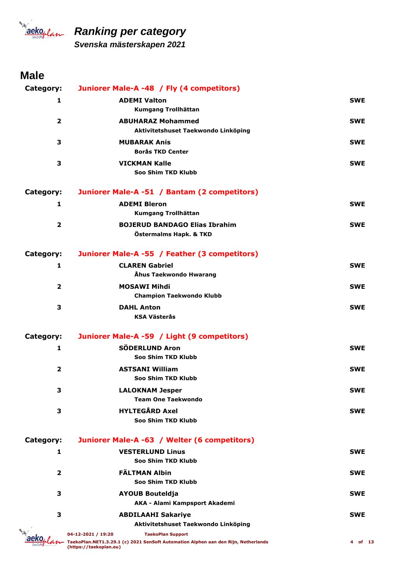

*Svenska mästerskapen 2021*

### **Male**

| Category:               | Juniorer Male-A -48 / Fly (4 competitors)                                                                                                                      |            |
|-------------------------|----------------------------------------------------------------------------------------------------------------------------------------------------------------|------------|
| 1                       | <b>ADEMI Valton</b>                                                                                                                                            | <b>SWE</b> |
|                         | Kumgang Trollhättan                                                                                                                                            |            |
| $\overline{2}$          | <b>ABUHARAZ Mohammed</b><br>Aktivitetshuset Taekwondo Linköping                                                                                                | <b>SWE</b> |
| 3                       | <b>MUBARAK Anis</b><br><b>Borås TKD Center</b>                                                                                                                 | <b>SWE</b> |
| 3                       | <b>VICKMAN Kalle</b><br>Soo Shim TKD Klubb                                                                                                                     | <b>SWE</b> |
| Category:               | Juniorer Male-A -51 / Bantam (2 competitors)                                                                                                                   |            |
| 1                       | <b>ADEMI Bleron</b><br>Kumgang Trollhättan                                                                                                                     | <b>SWE</b> |
| $\overline{\mathbf{2}}$ | <b>BOJERUD BANDAGO Elias Ibrahim</b><br>Östermalms Hapk. & TKD                                                                                                 | <b>SWE</b> |
| Category:               | Juniorer Male-A -55 / Feather (3 competitors)                                                                                                                  |            |
| 1                       | <b>CLAREN Gabriel</b><br>Åhus Taekwondo Hwarang                                                                                                                | <b>SWE</b> |
| $\overline{2}$          | <b>MOSAWI Mihdi</b><br><b>Champion Taekwondo Klubb</b>                                                                                                         | <b>SWE</b> |
| 3                       | <b>DAHL Anton</b><br><b>KSA Västerås</b>                                                                                                                       | <b>SWE</b> |
| Category:               | Juniorer Male-A -59 / Light (9 competitors)                                                                                                                    |            |
| 1                       | <b>SÖDERLUND Aron</b><br>Soo Shim TKD Klubb                                                                                                                    | <b>SWE</b> |
| $\overline{\mathbf{2}}$ | <b>ASTSANI William</b><br>Soo Shim TKD Klubb                                                                                                                   | <b>SWE</b> |
| З                       | <b>LALOKNAM Jesper</b><br><b>Team One Taekwondo</b>                                                                                                            | SWE        |
| 3                       | <b>HYLTEGÅRD Axel</b><br>Soo Shim TKD Klubb                                                                                                                    | <b>SWE</b> |
| Category:               | Juniorer Male-A -63 / Welter (6 competitors)                                                                                                                   |            |
| 1                       | <b>VESTERLUND Linus</b><br>Soo Shim TKD Klubb                                                                                                                  | <b>SWE</b> |
| $\overline{\mathbf{2}}$ | <b>FÄLTMAN Albin</b><br>Soo Shim TKD Klubb                                                                                                                     | <b>SWE</b> |
| 3                       | <b>AYOUB Bouteldja</b><br>AKA - Alami Kampsport Akademi                                                                                                        | <b>SWE</b> |
| з                       | <b>ABDILAAHI Sakariye</b>                                                                                                                                      | <b>SWE</b> |
|                         | Aktivitetshuset Taekwondo Linköping                                                                                                                            |            |
|                         | 04-12-2021 / 19:20<br><b>TaekoPlan Support</b><br>TaekoPlan.NET1.3.29.1 (c) 2021 SenSoft Automation Alphen aan den Rijn, Netherlands<br>(https://taekoplan.eu) | 4 of 13    |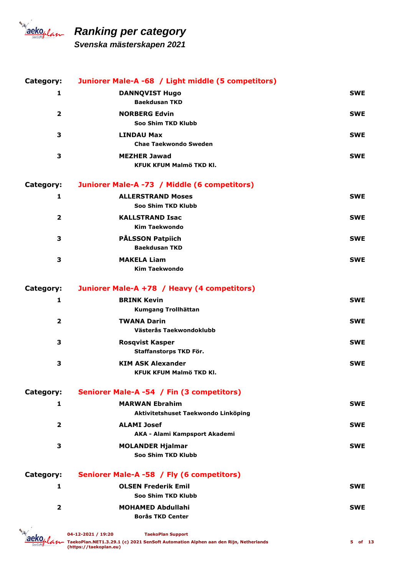

*Svenska mästerskapen 2021*

| Category:               | Juniorer Male-A -68 / Light middle (5 competitors)           |            |
|-------------------------|--------------------------------------------------------------|------------|
| 1                       | <b>DANNQVIST Hugo</b><br><b>Baekdusan TKD</b>                | <b>SWE</b> |
| $\overline{2}$          | <b>NORBERG Edvin</b><br>Soo Shim TKD Klubb                   | <b>SWE</b> |
| 3                       | <b>LINDAU Max</b><br><b>Chae Taekwondo Sweden</b>            | <b>SWE</b> |
| 3                       | <b>MEZHER Jawad</b><br><b>KFUK KFUM Malmö TKD Kl.</b>        | <b>SWE</b> |
| Category:               | Juniorer Male-A -73 / Middle (6 competitors)                 |            |
| 1                       | <b>ALLERSTRAND Moses</b><br>Soo Shim TKD Klubb               | <b>SWE</b> |
| $\overline{\mathbf{2}}$ | <b>KALLSTRAND Isac</b><br><b>Kim Taekwondo</b>               | <b>SWE</b> |
| 3                       | <b>PÅLSSON Patpiich</b><br><b>Baekdusan TKD</b>              | <b>SWE</b> |
| 3                       | <b>MAKELA Liam</b><br><b>Kim Taekwondo</b>                   | <b>SWE</b> |
| Category:               | Juniorer Male-A +78 / Heavy (4 competitors)                  |            |
| $\mathbf{1}$            | <b>BRINK Kevin</b><br>Kumgang Trollhättan                    | <b>SWE</b> |
| $\overline{\mathbf{2}}$ | <b>TWANA Darin</b><br>Västerås Taekwondoklubb                | <b>SWE</b> |
| 3                       | <b>Rosqvist Kasper</b><br>Staffanstorps TKD För.             | <b>SWE</b> |
| 3                       | <b>KIM ASK Alexander</b><br>KFUK KFUM Malmö TKD Kl.          | <b>SWE</b> |
| Category:               | Seniorer Male-A -54 / Fin (3 competitors)                    |            |
| 1                       | <b>MARWAN Ebrahim</b><br>Aktivitetshuset Taekwondo Linköping | <b>SWE</b> |
| $\overline{2}$          | <b>ALAMI Josef</b><br>AKA - Alami Kampsport Akademi          | <b>SWE</b> |
| 3                       | <b>MOLANDER Hjalmar</b><br>Soo Shim TKD Klubb                | <b>SWE</b> |
| Category:               | Seniorer Male-A -58 / Fly (6 competitors)                    |            |
| 1                       | <b>OLSEN Frederik Emil</b><br>Soo Shim TKD Klubb             | <b>SWE</b> |
| $\overline{\mathbf{2}}$ | <b>MOHAMED Abdullahi</b><br><b>Borås TKD Center</b>          | <b>SWE</b> |
|                         |                                                              |            |

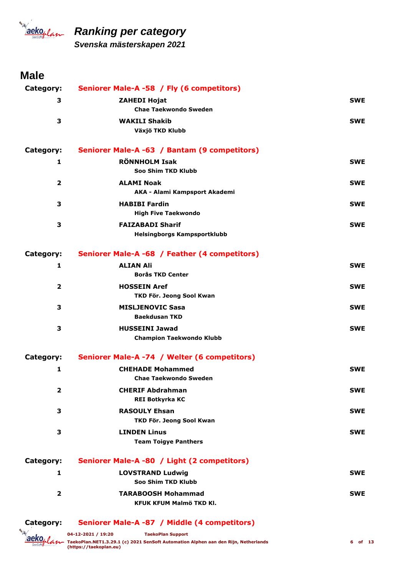

*Svenska mästerskapen 2021*

### **Male**

| Category:      | Seniorer Male-A -58 / Fly (6 competitors)                     |            |
|----------------|---------------------------------------------------------------|------------|
| 3              | <b>ZAHEDI Hojat</b>                                           | <b>SWE</b> |
|                | <b>Chae Taekwondo Sweden</b>                                  |            |
| 3              | <b>WAKILI Shakib</b><br>Växjö TKD Klubb                       | <b>SWE</b> |
| Category:      | Seniorer Male-A -63 / Bantam (9 competitors)                  |            |
| 1              | <b>RÖNNHOLM Isak</b><br>Soo Shim TKD Klubb                    | <b>SWE</b> |
| $\mathbf{2}$   | <b>ALAMI Noak</b><br>AKA - Alami Kampsport Akademi            | <b>SWE</b> |
| 3              | <b>HABIBI Fardin</b><br><b>High Five Taekwondo</b>            | <b>SWE</b> |
| 3              | <b>FAIZABADI Sharif</b><br><b>Helsingborgs Kampsportklubb</b> | <b>SWE</b> |
| Category:      | Seniorer Male-A -68 / Feather (4 competitors)                 |            |
| 1              | <b>ALIAN Ali</b><br><b>Borås TKD Center</b>                   | <b>SWE</b> |
| $\mathbf{2}$   | <b>HOSSEIN Aref</b><br>TKD För. Jeong Sool Kwan               | <b>SWE</b> |
| 3              | <b>MISLJENOVIC Sasa</b><br><b>Baekdusan TKD</b>               | <b>SWE</b> |
| 3              | <b>HUSSEINI Jawad</b><br><b>Champion Taekwondo Klubb</b>      | <b>SWE</b> |
| Category:      | Seniorer Male-A -74 / Welter (6 competitors)                  |            |
| 1              | <b>CHEHADE Mohammed</b><br><b>Chae Taekwondo Sweden</b>       | <b>SWE</b> |
| 2              | <b>CHERIF Abdrahman</b><br><b>REI Botkyrka KC</b>             | <b>SWE</b> |
| 3              | <b>RASOULY Ehsan</b><br>TKD För. Jeong Sool Kwan              | SWE        |
| 3              | <b>LINDEN Linus</b><br><b>Team Toigye Panthers</b>            | <b>SWE</b> |
| Category:      | Seniorer Male-A -80 / Light (2 competitors)                   |            |
| 1              | <b>LOVSTRAND Ludwig</b><br>Soo Shim TKD Klubb                 | <b>SWE</b> |
| $\overline{2}$ | <b>TARABOOSH Mohammad</b><br>KFUK KFUM Malmö TKD Kl.          | <b>SWE</b> |

**Category: Seniorer Male-A -87 / Middle (4 competitors)**

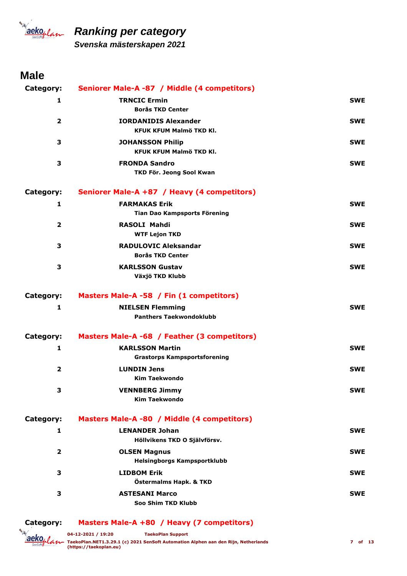

*Svenska mästerskapen 2021*

### **Male**

| Category:               | Seniorer Male-A -87 / Middle (4 competitors)              |            |
|-------------------------|-----------------------------------------------------------|------------|
| 1                       | <b>TRNCIC Ermin</b><br><b>Borås TKD Center</b>            | <b>SWE</b> |
| $\overline{2}$          | <b>IORDANIDIS Alexander</b><br>KFUK KFUM Malmö TKD Kl.    | <b>SWE</b> |
| 3                       | <b>JOHANSSON Philip</b><br><b>KFUK KFUM Malmö TKD Kl.</b> | <b>SWE</b> |
| 3                       | <b>FRONDA Sandro</b><br>TKD För. Jeong Sool Kwan          | <b>SWE</b> |
| Category:               | Seniorer Male-A +87 / Heavy (4 competitors)               |            |
| 1                       | <b>FARMAKAS Erik</b>                                      | <b>SWE</b> |
|                         | Tian Dao Kampsports Förening                              |            |
| $\overline{2}$          | <b>RASOLI Mahdi</b><br><b>WTF Lejon TKD</b>               | <b>SWE</b> |
| 3                       | <b>RADULOVIC Aleksandar</b><br><b>Borås TKD Center</b>    | <b>SWE</b> |
| 3                       | <b>KARLSSON Gustav</b><br>Växjö TKD Klubb                 | <b>SWE</b> |
| Category:               | Masters Male-A -58 / Fin (1 competitors)                  |            |
| 1                       | <b>NIELSEN Flemming</b><br><b>Panthers Taekwondoklubb</b> | <b>SWE</b> |
| Category:               | Masters Male-A -68 / Feather (3 competitors)              |            |
| 1                       | <b>KARLSSON Martin</b>                                    | <b>SWE</b> |
|                         | <b>Grastorps Kampsportsforening</b>                       |            |
| $\overline{2}$          | <b>LUNDIN Jens</b><br><b>Kim Taekwondo</b>                | <b>SWE</b> |
| 3                       | <b>VENNBERG Jimmy</b><br><b>Kim Taekwondo</b>             | <b>SWE</b> |
| Category:               | Masters Male-A -80 / Middle (4 competitors)               |            |
| 1                       | <b>LENANDER Johan</b><br>Höllvikens TKD O Självförsv.     | <b>SWE</b> |
| $\overline{\mathbf{2}}$ | <b>OLSEN Magnus</b><br><b>Helsingborgs Kampsportklubb</b> | <b>SWE</b> |
| 3                       | <b>LIDBOM Erik</b><br>Östermalms Hapk. & TKD              | <b>SWE</b> |
| 3                       | <b>ASTESANI Marco</b><br>Soo Shim TKD Klubb               | <b>SWE</b> |

**Category: Masters Male-A +80 / Heavy (7 competitors)**

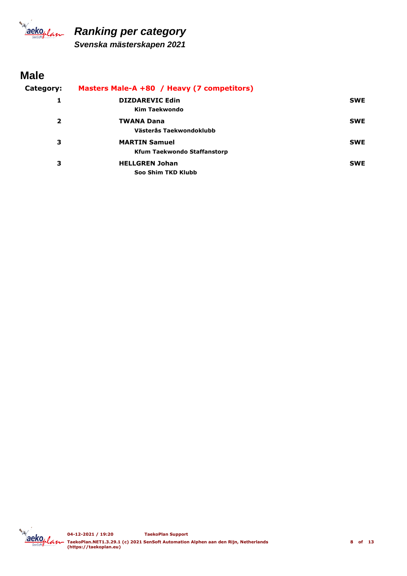

*Svenska mästerskapen 2021*

### **Male**

#### **Category: Masters Male-A +80 / Heavy (7 competitors) 1 Kim Taekwondo DIZDAREVIC Edin SWE 2 Västerås Taekwondoklubb TWANA Dana SWE 3 Kfum Taekwondo Staffanstorp MARTIN Samuel** SWE **3 Soo Shim TKD Klubb HELLGREN Johan SWE**

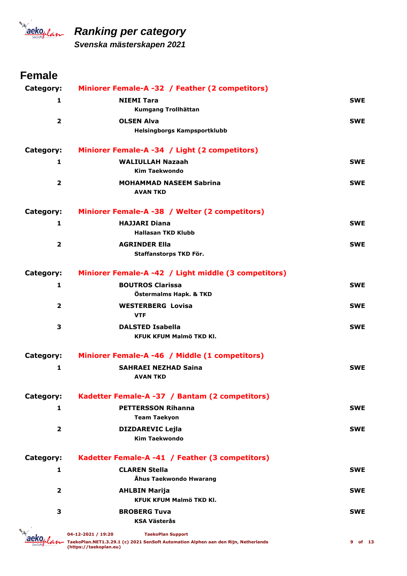

*Svenska mästerskapen 2021*

| Category:               | Miniorer Female-A -32 / Feather (2 competitors)                        |            |
|-------------------------|------------------------------------------------------------------------|------------|
| 1                       | <b>NIEMI Tara</b>                                                      | <b>SWE</b> |
|                         | Kumgang Trollhättan                                                    |            |
| $\overline{\mathbf{2}}$ | <b>OLSEN Alva</b><br>Helsingborgs Kampsportklubb                       | <b>SWE</b> |
| Category:               | Miniorer Female-A -34 / Light (2 competitors)                          |            |
| 1                       | <b>WALIULLAH Nazaah</b><br><b>Kim Taekwondo</b>                        | <b>SWE</b> |
| $\overline{\mathbf{2}}$ | <b>MOHAMMAD NASEEM Sabrina</b><br><b>AVAN TKD</b>                      | <b>SWE</b> |
| Category:               | Miniorer Female-A -38 / Welter (2 competitors)                         |            |
| 1                       | <b>HAJJARI Diana</b><br><b>Hallasan TKD Klubb</b>                      | <b>SWE</b> |
| $\overline{\mathbf{2}}$ | <b>AGRINDER Ella</b><br>Staffanstorps TKD För.                         | <b>SWE</b> |
| Category:               | Miniorer Female-A -42 / Light middle (3 competitors)                   |            |
| 1                       | <b>BOUTROS Clarissa</b><br>Östermalms Hapk. & TKD                      | <b>SWE</b> |
| $\overline{\mathbf{2}}$ | <b>WESTERBERG Lovisa</b><br><b>VTF</b>                                 | <b>SWE</b> |
| 3                       | <b>DALSTED Isabella</b><br>KFUK KFUM Malmö TKD Kl.                     | <b>SWE</b> |
| Category:               | Miniorer Female-A -46 / Middle (1 competitors)                         |            |
| 1                       | <b>SAHRAEI NEZHAD Saina</b><br><b>AVAN TKD</b>                         | <b>SWE</b> |
| Category:               | Kadetter Female-A -37 / Bantam (2 competitors)                         |            |
| 1                       | <b>PETTERSSON Rihanna</b>                                              | <b>SWE</b> |
| $\overline{2}$          | <b>Team Taekyon</b><br><b>DIZDAREVIC Lejla</b><br><b>Kim Taekwondo</b> | <b>SWE</b> |
| Category:               | Kadetter Female-A -41 / Feather (3 competitors)                        |            |
| 1                       | <b>CLAREN Stella</b><br>Åhus Taekwondo Hwarang                         | <b>SWE</b> |
| $\overline{2}$          | <b>AHLBIN Marija</b><br><b>KFUK KFUM Malmö TKD KI.</b>                 | <b>SWE</b> |
| 3                       | <b>BROBERG Tuva</b><br><b>KSA Västerås</b>                             | <b>SWE</b> |
|                         |                                                                        |            |

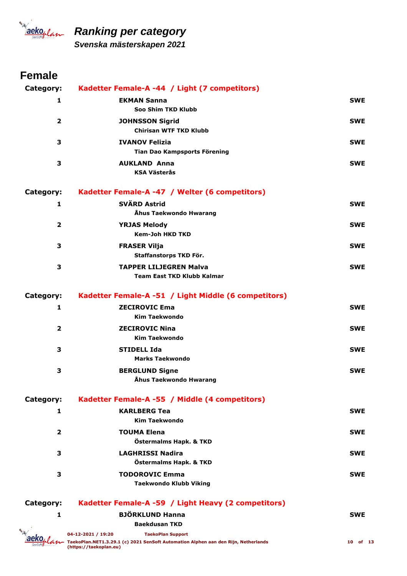

*Svenska mästerskapen 2021*

### **Female**

| Category:               | Kadetter Female-A -44 / Light (7 competitors)                      |            |
|-------------------------|--------------------------------------------------------------------|------------|
| 1                       | <b>EKMAN Sanna</b><br>Soo Shim TKD Klubb                           | <b>SWE</b> |
| $\overline{2}$          | <b>JOHNSSON Sigrid</b><br><b>Chirisan WTF TKD Klubb</b>            | <b>SWE</b> |
| 3                       | <b>IVANOV Felizia</b><br>Tian Dao Kampsports Förening              | <b>SWE</b> |
| 3                       | <b>AUKLAND Anna</b><br><b>KSA Västerås</b>                         | <b>SWE</b> |
| Category:               | Kadetter Female-A -47 / Welter (6 competitors)                     |            |
| 1                       | <b>SVÄRD Astrid</b><br>Åhus Taekwondo Hwarang                      | <b>SWE</b> |
| $\overline{2}$          | <b>YRJAS Melody</b><br><b>Kem-Joh HKD TKD</b>                      | <b>SWE</b> |
| 3                       | <b>FRASER Vilja</b><br>Staffanstorps TKD För.                      | <b>SWE</b> |
| 3                       | <b>TAPPER LILJEGREN Malva</b><br><b>Team East TKD Klubb Kalmar</b> | <b>SWE</b> |
| Category:               | Kadetter Female-A -51 / Light Middle (6 competitors)               |            |
| 1                       | <b>ZECIROVIC Ema</b><br><b>Kim Taekwondo</b>                       | <b>SWE</b> |
| $\overline{\mathbf{2}}$ | <b>ZECIROVIC Nina</b><br><b>Kim Taekwondo</b>                      | <b>SWE</b> |
| 3                       | <b>STIDELL Ida</b><br><b>Marks Taekwondo</b>                       | <b>SWE</b> |
| 3                       | <b>BERGLUND Signe</b><br>Åhus Taekwondo Hwarang                    | <b>SWE</b> |
| Category:               | Kadetter Female-A -55 / Middle (4 competitors)                     |            |
| 1                       | <b>KARLBERG Tea</b><br><b>Kim Taekwondo</b>                        | <b>SWE</b> |
| $\overline{\mathbf{2}}$ | <b>TOUMA Elena</b><br>Östermalms Hapk. & TKD                       | <b>SWE</b> |
| 3                       | <b>LAGHRISSI Nadira</b><br>Östermalms Hapk. & TKD                  | <b>SWE</b> |
| 3                       | <b>TODOROVIC Emma</b><br><b>Taekwondo Klubb Viking</b>             | <b>SWE</b> |
| Category:               | Kadetter Female-A -59 / Light Heavy (2 competitors)                |            |

**1 Baekdusan TKD BJÖRKLUND Hanna SWE 04-12-2021 / 19:20 TaekoPlan.NET1.3.29.1 (c) 2021 SenSoft Automation Alphen aan den Rijn, Netherlands (https://taekoplan.eu) TaekoPlan Support**

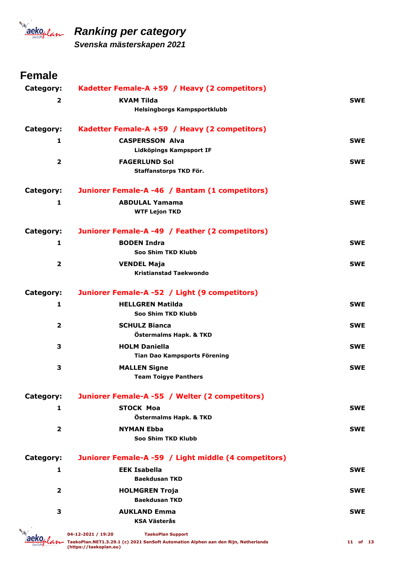

*Svenska mästerskapen 2021*

| Category:               | Kadetter Female-A +59 / Heavy (2 competitors)        |            |
|-------------------------|------------------------------------------------------|------------|
| $\mathbf{z}$            | <b>KVAM Tilda</b>                                    | <b>SWE</b> |
|                         | <b>Helsingborgs Kampsportklubb</b>                   |            |
| Category:               | Kadetter Female-A +59 / Heavy (2 competitors)        |            |
| 1                       | <b>CASPERSSON Alva</b>                               | <b>SWE</b> |
|                         | Lidköpings Kampsport IF                              |            |
| $\overline{2}$          | <b>FAGERLUND Sol</b>                                 | <b>SWE</b> |
|                         | Staffanstorps TKD För.                               |            |
| Category:               | Juniorer Female-A -46 / Bantam (1 competitors)       |            |
| 1                       | <b>ABDULAL Yamama</b>                                | <b>SWE</b> |
|                         | <b>WTF Lejon TKD</b>                                 |            |
| Category:               | Juniorer Female-A -49 / Feather (2 competitors)      |            |
| 1                       | <b>BODEN Indra</b>                                   | <b>SWE</b> |
|                         | Soo Shim TKD Klubb                                   |            |
| $\overline{\mathbf{2}}$ | <b>VENDEL Maja</b>                                   | <b>SWE</b> |
|                         | <b>Kristianstad Taekwondo</b>                        |            |
| Category:               | Juniorer Female-A -52 / Light (9 competitors)        |            |
| $\mathbf{1}$            | <b>HELLGREN Matilda</b>                              | <b>SWE</b> |
|                         | Soo Shim TKD Klubb                                   |            |
| $\overline{2}$          | <b>SCHULZ Bianca</b>                                 | <b>SWE</b> |
|                         | Östermalms Hapk. & TKD                               |            |
| 3                       | <b>HOLM Daniella</b>                                 | <b>SWE</b> |
|                         | Tian Dao Kampsports Förening                         |            |
| 3                       | <b>MALLEN Signe</b><br><b>Team Toigye Panthers</b>   | <b>SWE</b> |
|                         |                                                      |            |
| Category:               | Juniorer Female-A -55 / Welter (2 competitors)       |            |
| 1                       | <b>STOCK Moa</b>                                     | <b>SWE</b> |
|                         | Östermalms Hapk. & TKD                               |            |
| $\mathbf{2}$            | <b>NYMAN Ebba</b>                                    | <b>SWE</b> |
|                         | Soo Shim TKD Klubb                                   |            |
| Category:               | Juniorer Female-A -59 / Light middle (4 competitors) |            |
| 1                       | <b>EEK Isabella</b>                                  | <b>SWE</b> |
|                         | <b>Baekdusan TKD</b>                                 |            |
| $\overline{\mathbf{2}}$ | <b>HOLMGREN Troja</b>                                | <b>SWE</b> |
|                         | <b>Baekdusan TKD</b>                                 |            |
| 3                       | <b>AUKLAND Emma</b>                                  | <b>SWE</b> |
|                         | <b>KSA Västerås</b>                                  |            |

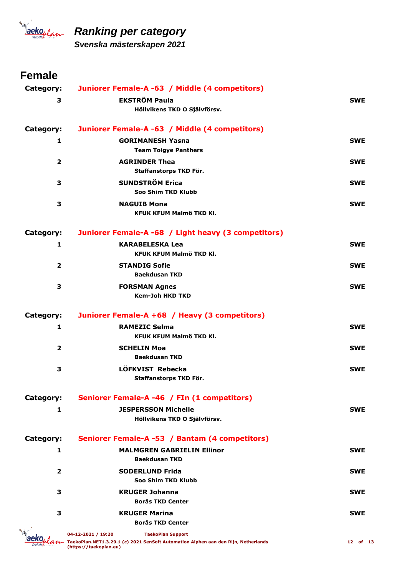

*Svenska mästerskapen 2021*

| Category:               | Juniorer Female-A -63 / Middle (4 competitors)            |            |
|-------------------------|-----------------------------------------------------------|------------|
| 3                       | <b>EKSTRÖM Paula</b>                                      | <b>SWE</b> |
|                         | Höllvikens TKD O Självförsv.                              |            |
| Category:               | Juniorer Female-A -63 / Middle (4 competitors)            |            |
| 1                       | <b>GORIMANESH Yasna</b>                                   | <b>SWE</b> |
|                         | <b>Team Toigye Panthers</b>                               |            |
| $\overline{2}$          | <b>AGRINDER Thea</b>                                      | <b>SWE</b> |
|                         | Staffanstorps TKD För.                                    |            |
| 3                       | <b>SUNDSTRÖM Erica</b>                                    | <b>SWE</b> |
|                         | Soo Shim TKD Klubb                                        |            |
| 3                       | <b>NAGUIB Mona</b>                                        | <b>SWE</b> |
|                         | KFUK KFUM Malmö TKD KI.                                   |            |
| Category:               | Juniorer Female-A -68 / Light heavy (3 competitors)       |            |
| 1                       | <b>KARABELESKA Lea</b>                                    | <b>SWE</b> |
|                         | KFUK KFUM Malmö TKD Kl.                                   |            |
| $\overline{2}$          | <b>STANDIG Sofie</b>                                      | <b>SWE</b> |
|                         | <b>Baekdusan TKD</b>                                      |            |
| 3                       | <b>FORSMAN Agnes</b>                                      | <b>SWE</b> |
|                         | <b>Kem-Joh HKD TKD</b>                                    |            |
|                         |                                                           |            |
| Category:               | Juniorer Female-A +68 / Heavy (3 competitors)             |            |
| 1                       | <b>RAMEZIC Selma</b>                                      | <b>SWE</b> |
|                         | KFUK KFUM Malmö TKD Kl.                                   |            |
| $\overline{\mathbf{2}}$ | <b>SCHELIN Moa</b>                                        | <b>SWE</b> |
|                         | <b>Baekdusan TKD</b>                                      |            |
| 3                       | LÖFKVIST Rebecka                                          | <b>SWE</b> |
|                         | Staffanstorps TKD För.                                    |            |
| Category:               | Seniorer Female-A -46 / FIn (1 competitors)               |            |
| 1                       | <b>JESPERSSON Michelle</b>                                | <b>SWE</b> |
|                         | Höllvikens TKD O Självförsv.                              |            |
|                         |                                                           |            |
| Category:               | Seniorer Female-A -53 / Bantam (4 competitors)            |            |
| 1                       | <b>MALMGREN GABRIELIN Ellinor</b><br><b>Baekdusan TKD</b> | <b>SWE</b> |
| $\overline{2}$          | <b>SODERLUND Frida</b>                                    | <b>SWE</b> |
|                         | Soo Shim TKD Klubb                                        |            |
| 3                       | <b>KRUGER Johanna</b>                                     | <b>SWE</b> |
|                         | <b>Borås TKD Center</b>                                   |            |
| 3                       | <b>KRUGER Marina</b>                                      | <b>SWE</b> |